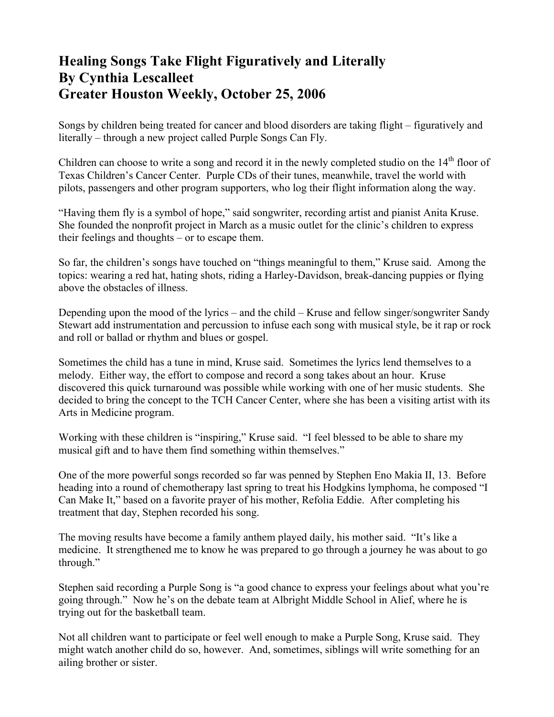## **Healing Songs Take Flight Figuratively and Literally By Cynthia Lescalleet Greater Houston Weekly, October 25, 2006**

Songs by children being treated for cancer and blood disorders are taking flight – figuratively and literally – through a new project called Purple Songs Can Fly.

Children can choose to write a song and record it in the newly completed studio on the  $14<sup>th</sup>$  floor of Texas Children's Cancer Center. Purple CDs of their tunes, meanwhile, travel the world with pilots, passengers and other program supporters, who log their flight information along the way.

"Having them fly is a symbol of hope," said songwriter, recording artist and pianist Anita Kruse. She founded the nonprofit project in March as a music outlet for the clinic's children to express their feelings and thoughts – or to escape them.

So far, the children's songs have touched on "things meaningful to them," Kruse said. Among the topics: wearing a red hat, hating shots, riding a Harley-Davidson, break-dancing puppies or flying above the obstacles of illness.

Depending upon the mood of the lyrics – and the child – Kruse and fellow singer/songwriter Sandy Stewart add instrumentation and percussion to infuse each song with musical style, be it rap or rock and roll or ballad or rhythm and blues or gospel.

Sometimes the child has a tune in mind, Kruse said. Sometimes the lyrics lend themselves to a melody. Either way, the effort to compose and record a song takes about an hour. Kruse discovered this quick turnaround was possible while working with one of her music students. She decided to bring the concept to the TCH Cancer Center, where she has been a visiting artist with its Arts in Medicine program.

Working with these children is "inspiring," Kruse said. "I feel blessed to be able to share my musical gift and to have them find something within themselves."

One of the more powerful songs recorded so far was penned by Stephen Eno Makia II, 13. Before heading into a round of chemotherapy last spring to treat his Hodgkins lymphoma, he composed "I Can Make It," based on a favorite prayer of his mother, Refolia Eddie. After completing his treatment that day, Stephen recorded his song.

The moving results have become a family anthem played daily, his mother said. "It's like a medicine. It strengthened me to know he was prepared to go through a journey he was about to go through."

Stephen said recording a Purple Song is "a good chance to express your feelings about what you're going through." Now he's on the debate team at Albright Middle School in Alief, where he is trying out for the basketball team.

Not all children want to participate or feel well enough to make a Purple Song, Kruse said. They might watch another child do so, however. And, sometimes, siblings will write something for an ailing brother or sister.